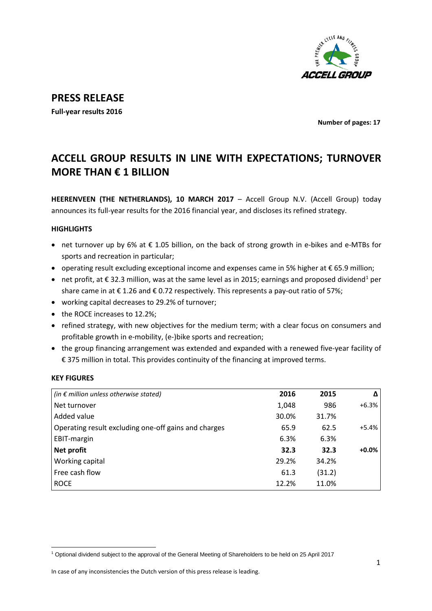

## **PRESS RELEASE**

**Full-year results 2016**

**Number of pages: 17**

# **ACCELL GROUP RESULTS IN LINE WITH EXPECTATIONS; TURNOVER MORE THAN € 1 BILLION**

**HEERENVEEN (THE NETHERLANDS), 10 MARCH 2017** – Accell Group N.V. (Accell Group) today announces its full-year results for the 2016 financial year, and discloses its refined strategy.

## **HIGHLIGHTS**

- net turnover up by 6% at € 1.05 billion, on the back of strong growth in e-bikes and e-MTBs for sports and recreation in particular;
- operating result excluding exceptional income and expenses came in 5% higher at € 65.9 million;
- net profit, at  $\epsilon$  32.3 million, was at the same level as in 2015; earnings and proposed dividend<sup>1</sup> per share came in at  $\epsilon$  1.26 and  $\epsilon$  0.72 respectively. This represents a pay-out ratio of 57%;
- working capital decreases to 29.2% of turnover;
- the ROCE increases to 12.2%;
- refined strategy, with new objectives for the medium term; with a clear focus on consumers and profitable growth in e-mobility, (e-)bike sports and recreation;
- the group financing arrangement was extended and expanded with a renewed five-year facility of € 375 million in total. This provides continuity of the financing at improved terms.

## **KEY FIGURES**

 $\overline{a}$ 

| (in $\epsilon$ million unless otherwise stated)      | 2016  | 2015   | Δ       |
|------------------------------------------------------|-------|--------|---------|
| Net turnover                                         | 1,048 | 986    | $+6.3%$ |
| Added value                                          | 30.0% | 31.7%  |         |
| Operating result excluding one-off gains and charges | 65.9  | 62.5   | $+5.4%$ |
| EBIT-margin                                          | 6.3%  | 6.3%   |         |
| Net profit                                           | 32.3  | 32.3   | $+0.0%$ |
| Working capital                                      | 29.2% | 34.2%  |         |
| Free cash flow                                       | 61.3  | (31.2) |         |
| <b>ROCE</b>                                          | 12.2% | 11.0%  |         |

<span id="page-0-0"></span><sup>1</sup> Optional dividend subject to the approval of the General Meeting of Shareholders to be held on 25 April 2017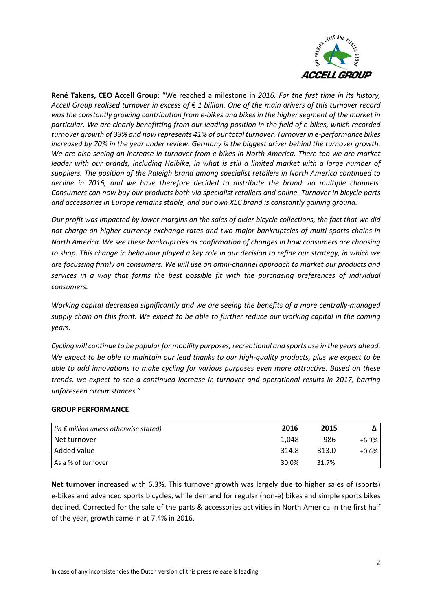

**René Takens, CEO Accell Group**: "We reached a milestone in *2016. For the first time in its history, Accell Group realised turnover in excess of* € *1 billion. One of the main drivers of this turnover record was the constantly growing contribution from e-bikes and bikes in the higher segment of the market in particular. We are clearly benefitting from our leading position in the field of e-bikes, which recorded turnover growth of 33% and now represents 41% of our total turnover. Turnover in e-performance bikes increased by 70% in the year under review. Germany is the biggest driver behind the turnover growth. We are also seeing an increase in turnover from e-bikes in North America. There too we are market leader with our brands, including Haibike, in what is still a limited market with a large number of suppliers. The position of the Raleigh brand among specialist retailers in North America continued to decline in 2016, and we have therefore decided to distribute the brand via multiple channels. Consumers can now buy our products both via specialist retailers and online. Turnover in bicycle parts and accessories in Europe remains stable, and our own XLC brand is constantly gaining ground.* 

*Our profit was impacted by lower margins on the sales of older bicycle collections, the fact that we did not charge on higher currency exchange rates and two major bankruptcies of multi-sports chains in North America. We see these bankruptcies as confirmation of changes in how consumers are choosing to shop. This change in behaviour played a key role in our decision to refine our strategy, in which we are focussing firmly on consumers. We will use an omni-channel approach to market our products and services in a way that forms the best possible fit with the purchasing preferences of individual consumers.* 

*Working capital decreased significantly and we are seeing the benefits of a more centrally-managed supply chain on this front. We expect to be able to further reduce our working capital in the coming years.*

*Cycling will continue to be popular for mobility purposes, recreational and sports use in the years ahead. We expect to be able to maintain our lead thanks to our high-quality products, plus we expect to be able to add innovations to make cycling for various purposes even more attractive. Based on these trends, we expect to see a continued increase in turnover and operational results in 2017, barring unforeseen circumstances."* 

## **GROUP PERFORMANCE**

| (in € million unless otherwise stated) | 2016  | 2015  |         |
|----------------------------------------|-------|-------|---------|
| Net turnover                           | 1.048 | 986   | $+6.3%$ |
| Added value                            | 314.8 | 313.0 | $+0.6%$ |
| As a % of turnover                     | 30.0% | 31.7% |         |

**Net turnover** increased with 6.3%. This turnover growth was largely due to higher sales of (sports) e-bikes and advanced sports bicycles, while demand for regular (non-e) bikes and simple sports bikes declined. Corrected for the sale of the parts & accessories activities in North America in the first half of the year, growth came in at 7.4% in 2016.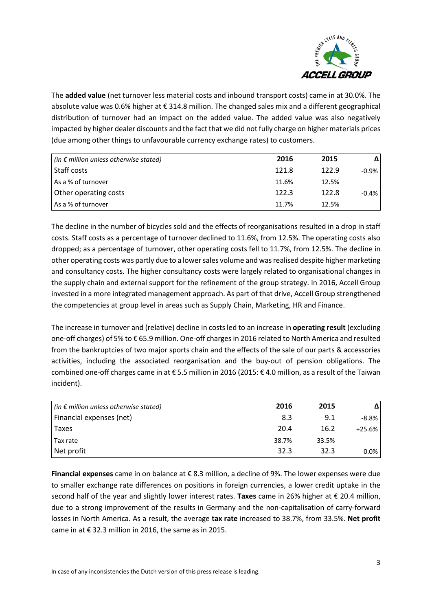

The **added value** (net turnover less material costs and inbound transport costs) came in at 30.0%. The absolute value was 0.6% higher at € 314.8 million. The changed sales mix and a different geographical distribution of turnover had an impact on the added value. The added value was also negatively impacted by higher dealer discounts and the fact that we did not fully charge on higher materials prices (due among other things to unfavourable currency exchange rates) to customers.

| (in $\epsilon$ million unless otherwise stated) | 2016  | 2015  | Δ        |
|-------------------------------------------------|-------|-------|----------|
| Staff costs                                     | 121.8 | 122.9 | $-0.9\%$ |
| As a % of turnover                              | 11.6% | 12.5% |          |
| Other operating costs                           | 122.3 | 122.8 | $-0.4%$  |
| As a % of turnover                              | 11.7% | 12.5% |          |

The decline in the number of bicycles sold and the effects of reorganisations resulted in a drop in staff costs. Staff costs as a percentage of turnover declined to 11.6%, from 12.5%. The operating costs also dropped; as a percentage of turnover, other operating costs fell to 11.7%, from 12.5%. The decline in other operating costs was partly due to a lower sales volume and was realised despite higher marketing and consultancy costs. The higher consultancy costs were largely related to organisational changes in the supply chain and external support for the refinement of the group strategy. In 2016, Accell Group invested in a more integrated management approach. As part of that drive, Accell Group strengthened the competencies at group level in areas such as Supply Chain, Marketing, HR and Finance.

The increase in turnover and (relative) decline in costs led to an increase in **operating result** (excluding one-off charges) of 5% to € 65.9 million. One-off chargesin 2016 related to North America and resulted from the bankruptcies of two major sports chain and the effects of the sale of our parts & accessories activities, including the associated reorganisation and the buy-out of pension obligations. The combined one-off charges came in at € 5.5 million in 2016 (2015: € 4.0 million, as a result of the Taiwan incident).

| (in € million unless otherwise stated) | 2016  | 2015  | Δ        |
|----------------------------------------|-------|-------|----------|
| Financial expenses (net)               | 8.3   | 9.1   | $-8.8\%$ |
| Taxes                                  | 20.4  | 16.2  | $+25.6%$ |
| Tax rate                               | 38.7% | 33.5% |          |
| Net profit                             | 32.3  | 32.3  | $0.0\%$  |

**Financial expenses** came in on balance at € 8.3 million, a decline of 9%. The lower expenses were due to smaller exchange rate differences on positions in foreign currencies, a lower credit uptake in the second half of the year and slightly lower interest rates. **Taxes** came in 26% higher at € 20.4 million, due to a strong improvement of the results in Germany and the non-capitalisation of carry-forward losses in North America. As a result, the average **tax rate** increased to 38.7%, from 33.5%. **Net profit**  came in at  $\epsilon$  32.3 million in 2016, the same as in 2015.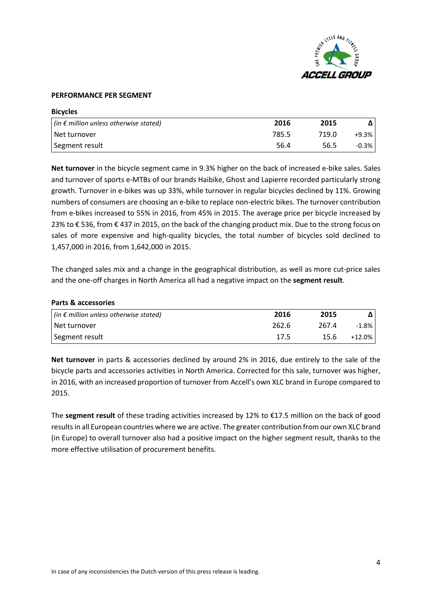

#### **PERFORMANCE PER SEGMENT**

**Bicycles** 

**Parts & accessories** 

| <b>BICVCIES</b>                                                  |       |       |            |
|------------------------------------------------------------------|-------|-------|------------|
| $\left  \right $ (in $\epsilon$ million unless otherwise stated) | 2016  | 2015  |            |
| Net turnover                                                     | 785.5 | 719.0 | $+9.3\%$   |
| Segment result                                                   | 56.4  | 56.5  | $-0.3\%$ I |

**Net turnover** in the bicycle segment came in 9.3% higher on the back of increased e-bike sales. Sales and turnover of sports e-MTBs of our brands Haibike, Ghost and Lapierre recorded particularly strong growth. Turnover in e-bikes was up 33%, while turnover in regular bicycles declined by 11%. Growing numbers of consumers are choosing an e-bike to replace non-electric bikes. The turnover contribution from e-bikes increased to 55% in 2016, from 45% in 2015. The average price per bicycle increased by 23% to € 536, from € 437 in 2015, on the back of the changing product mix. Due to the strong focus on sales of more expensive and high-quality bicycles, the total number of bicycles sold declined to 1,457,000 in 2016, from 1,642,000 in 2015.

The changed sales mix and a change in the geographical distribution, as well as more cut-price sales and the one-off charges in North America all had a negative impact on the **segment result**.

| (in $\epsilon$ million unless otherwise stated) | 2016  | 2015  |           |
|-------------------------------------------------|-------|-------|-----------|
| Net turnover                                    | 262.6 | 267.4 | $-1.8\%$  |
| Segment result                                  | 17.5  | 15.6  | $+12.0\%$ |

**Net turnover** in parts & accessories declined by around 2% in 2016, due entirely to the sale of the bicycle parts and accessories activities in North America. Corrected for this sale, turnover was higher, in 2016, with an increased proportion of turnover from Accell's own XLC brand in Europe compared to 2015.

The **segment result** of these trading activities increased by 12% to €17.5 million on the back of good results in all European countries where we are active. The greater contribution from our own XLC brand (in Europe) to overall turnover also had a positive impact on the higher segment result, thanks to the more effective utilisation of procurement benefits.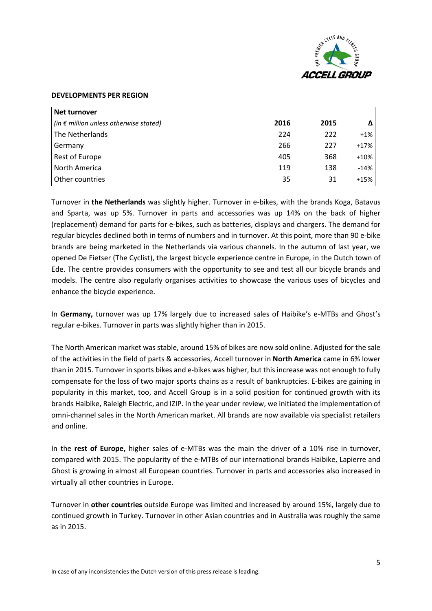

#### **DEVELOPMENTS PER REGION**

| Net turnover                                    |      |      |        |
|-------------------------------------------------|------|------|--------|
| (in $\epsilon$ million unless otherwise stated) | 2016 | 2015 |        |
| The Netherlands                                 | 224  | 222  | $+1%$  |
| Germany                                         | 266  | 227  | $+17%$ |
| Rest of Europe                                  | 405  | 368  | $+10%$ |
| North America                                   | 119  | 138  | $-14%$ |
| Other countries                                 | 35   | 31   | $+15%$ |

Turnover in **the Netherlands** was slightly higher. Turnover in e-bikes, with the brands Koga, Batavus and Sparta, was up 5%. Turnover in parts and accessories was up 14% on the back of higher (replacement) demand for parts for e-bikes, such as batteries, displays and chargers. The demand for regular bicycles declined both in terms of numbers and in turnover. At this point, more than 90 e-bike brands are being marketed in the Netherlands via various channels. In the autumn of last year, we opened De Fietser (The Cyclist), the largest bicycle experience centre in Europe, in the Dutch town of Ede. The centre provides consumers with the opportunity to see and test all our bicycle brands and models. The centre also regularly organises activities to showcase the various uses of bicycles and enhance the bicycle experience.

In **Germany,** turnover was up 17% largely due to increased sales of Haibike's e-MTBs and Ghost's regular e-bikes. Turnover in parts was slightly higher than in 2015.

The North American market was stable, around 15% of bikes are now sold online. Adjusted for the sale of the activities in the field of parts & accessories, Accell turnover in **North America** came in 6% lower than in 2015. Turnover in sports bikes and e-bikes was higher, but this increase was not enough to fully compensate for the loss of two major sports chains as a result of bankruptcies. E-bikes are gaining in popularity in this market, too, and Accell Group is in a solid position for continued growth with its brands Haibike, Raleigh Electric, and IZIP. In the year under review, we initiated the implementation of omni-channel sales in the North American market. All brands are now available via specialist retailers and online.

In the **rest of Europe,** higher sales of e-MTBs was the main the driver of a 10% rise in turnover, compared with 2015. The popularity of the e-MTBs of our international brands Haibike, Lapierre and Ghost is growing in almost all European countries. Turnover in parts and accessories also increased in virtually all other countries in Europe.

Turnover in **other countries** outside Europe was limited and increased by around 15%, largely due to continued growth in Turkey. Turnover in other Asian countries and in Australia was roughly the same as in 2015.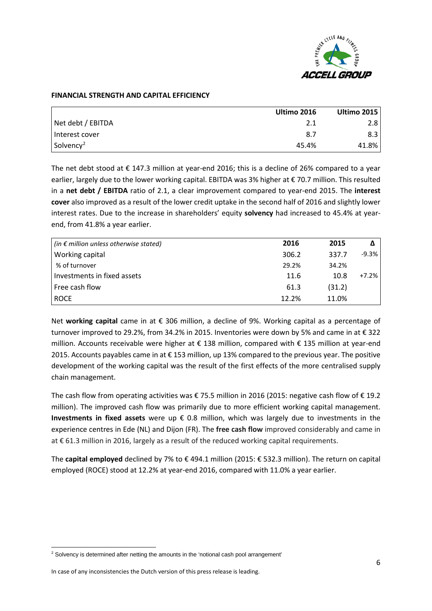

#### **FINANCIAL STRENGTH AND CAPITAL EFFICIENCY**

|                       | Ultimo 2016 | <b>Ultimo 2015</b> |
|-----------------------|-------------|--------------------|
| Net debt / EBITDA     | 2.1         | 2.8                |
| Interest cover        | 8.7         | 8.3                |
| Solvency <sup>2</sup> | 45.4%       | 41.8%              |

The net debt stood at  $\epsilon$  147.3 million at year-end 2016; this is a decline of 26% compared to a year earlier, largely due to the lower working capital. EBITDA was 3% higher at € 70.7 million. This resulted in a **net debt / EBITDA** ratio of 2.1, a clear improvement compared to year-end 2015. The **interest cover** also improved as a result of the lower credit uptake in the second half of 2016 and slightly lower interest rates. Due to the increase in shareholders' equity **solvency** had increased to 45.4% at yearend, from 41.8% a year earlier.

| $ $ (in € million unless otherwise stated) | 2016  | 2015   |          |
|--------------------------------------------|-------|--------|----------|
| Working capital                            | 306.2 | 337.7  | $-9.3\%$ |
| % of turnover                              | 29.2% | 34.2%  |          |
| Investments in fixed assets                | 11.6  | 10.8   | $+7.2\%$ |
| Free cash flow                             | 61.3  | (31.2) |          |
| <b>ROCE</b>                                | 12.2% | 11.0%  |          |

Net **working capital** came in at € 306 million, a decline of 9%. Working capital as a percentage of turnover improved to 29.2%, from 34.2% in 2015. Inventories were down by 5% and came in at € 322 million. Accounts receivable were higher at € 138 million, compared with € 135 million at year-end 2015. Accounts payables came in at  $\epsilon$  153 million, up 13% compared to the previous year. The positive development of the working capital was the result of the first effects of the more centralised supply chain management.

The cash flow from operating activities was € 75.5 million in 2016 (2015: negative cash flow of € 19.2 million). The improved cash flow was primarily due to more efficient working capital management. **Investments in fixed assets** were up € 0.8 million, which was largely due to investments in the experience centres in Ede (NL) and Dijon (FR). The **free cash flow** improved considerably and came in at € 61.3 million in 2016, largely as a result of the reduced working capital requirements.

The **capital employed** declined by 7% to € 494.1 million (2015: € 532.3 million). The return on capital employed (ROCE) stood at 12.2% at year-end 2016, compared with 11.0% a year earlier.

 $\overline{a}$ 

<span id="page-5-0"></span><sup>&</sup>lt;sup>2</sup> Solvency is determined after netting the amounts in the 'notional cash pool arrangement'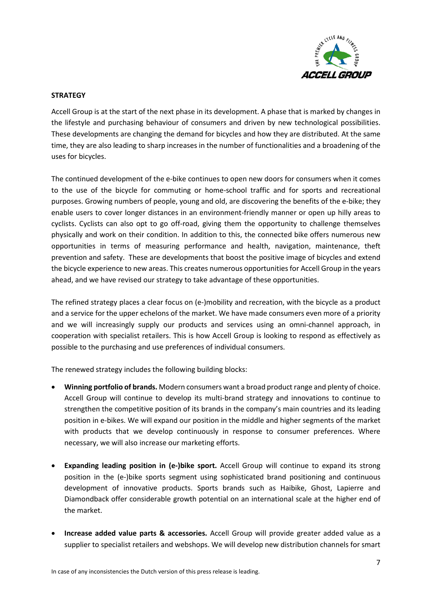

#### **STRATEGY**

Accell Group is at the start of the next phase in its development. A phase that is marked by changes in the lifestyle and purchasing behaviour of consumers and driven by new technological possibilities. These developments are changing the demand for bicycles and how they are distributed. At the same time, they are also leading to sharp increases in the number of functionalities and a broadening of the uses for bicycles.

The continued development of the e-bike continues to open new doors for consumers when it comes to the use of the bicycle for commuting or home-school traffic and for sports and recreational purposes. Growing numbers of people, young and old, are discovering the benefits of the e-bike; they enable users to cover longer distances in an environment-friendly manner or open up hilly areas to cyclists. Cyclists can also opt to go off-road, giving them the opportunity to challenge themselves physically and work on their condition. In addition to this, the connected bike offers numerous new opportunities in terms of measuring performance and health, navigation, maintenance, theft prevention and safety. These are developments that boost the positive image of bicycles and extend the bicycle experience to new areas. This creates numerous opportunities for Accell Group in the years ahead, and we have revised our strategy to take advantage of these opportunities.

The refined strategy places a clear focus on (e-)mobility and recreation, with the bicycle as a product and a service for the upper echelons of the market. We have made consumers even more of a priority and we will increasingly supply our products and services using an omni-channel approach, in cooperation with specialist retailers. This is how Accell Group is looking to respond as effectively as possible to the purchasing and use preferences of individual consumers.

The renewed strategy includes the following building blocks:

- **Winning portfolio of brands.** Modern consumers want a broad product range and plenty of choice. Accell Group will continue to develop its multi-brand strategy and innovations to continue to strengthen the competitive position of its brands in the company's main countries and its leading position in e-bikes. We will expand our position in the middle and higher segments of the market with products that we develop continuously in response to consumer preferences. Where necessary, we will also increase our marketing efforts.
- **Expanding leading position in (e-)bike sport.** Accell Group will continue to expand its strong position in the (e-)bike sports segment using sophisticated brand positioning and continuous development of innovative products. Sports brands such as Haibike, Ghost, Lapierre and Diamondback offer considerable growth potential on an international scale at the higher end of the market.
- **Increase added value parts & accessories.** Accell Group will provide greater added value as a supplier to specialist retailers and webshops. We will develop new distribution channels for smart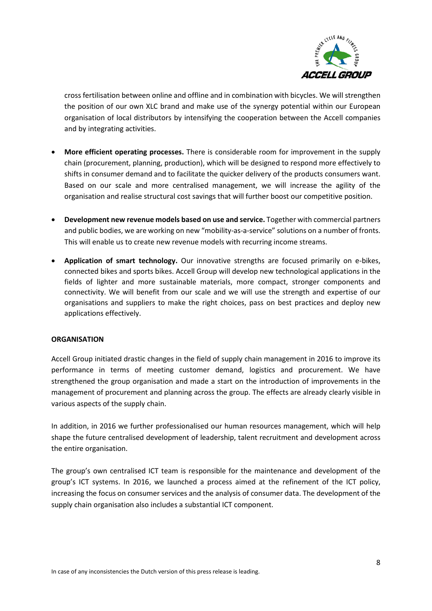

cross fertilisation between online and offline and in combination with bicycles. We will strengthen the position of our own XLC brand and make use of the synergy potential within our European organisation of local distributors by intensifying the cooperation between the Accell companies and by integrating activities.

- **More efficient operating processes.** There is considerable room for improvement in the supply chain (procurement, planning, production), which will be designed to respond more effectively to shifts in consumer demand and to facilitate the quicker delivery of the products consumers want. Based on our scale and more centralised management, we will increase the agility of the organisation and realise structural cost savings that will further boost our competitive position.
- **Development new revenue models based on use and service.** Together with commercial partners and public bodies, we are working on new "mobility-as-a-service" solutions on a number of fronts. This will enable us to create new revenue models with recurring income streams.
- **Application of smart technology.** Our innovative strengths are focused primarily on e-bikes, connected bikes and sports bikes. Accell Group will develop new technological applications in the fields of lighter and more sustainable materials, more compact, stronger components and connectivity. We will benefit from our scale and we will use the strength and expertise of our organisations and suppliers to make the right choices, pass on best practices and deploy new applications effectively.

## **ORGANISATION**

Accell Group initiated drastic changes in the field of supply chain management in 2016 to improve its performance in terms of meeting customer demand, logistics and procurement. We have strengthened the group organisation and made a start on the introduction of improvements in the management of procurement and planning across the group. The effects are already clearly visible in various aspects of the supply chain.

In addition, in 2016 we further professionalised our human resources management, which will help shape the future centralised development of leadership, talent recruitment and development across the entire organisation.

The group's own centralised ICT team is responsible for the maintenance and development of the group's ICT systems. In 2016, we launched a process aimed at the refinement of the ICT policy, increasing the focus on consumer services and the analysis of consumer data. The development of the supply chain organisation also includes a substantial ICT component.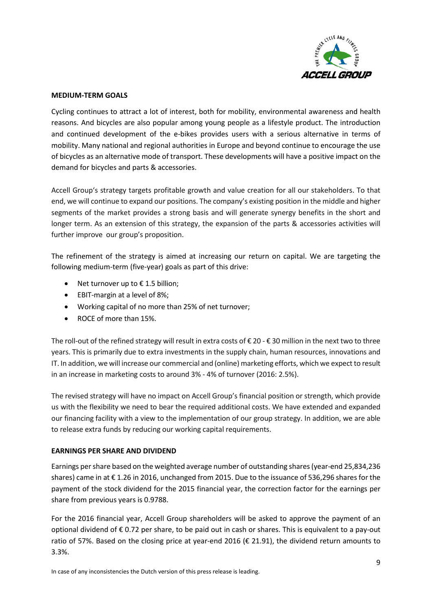

#### **MEDIUM-TERM GOALS**

Cycling continues to attract a lot of interest, both for mobility, environmental awareness and health reasons. And bicycles are also popular among young people as a lifestyle product. The introduction and continued development of the e-bikes provides users with a serious alternative in terms of mobility. Many national and regional authorities in Europe and beyond continue to encourage the use of bicycles as an alternative mode of transport. These developments will have a positive impact on the demand for bicycles and parts & accessories.

Accell Group's strategy targets profitable growth and value creation for all our stakeholders. To that end, we will continue to expand our positions. The company's existing position in the middle and higher segments of the market provides a strong basis and will generate synergy benefits in the short and longer term. As an extension of this strategy, the expansion of the parts & accessories activities will further improve our group's proposition.

The refinement of the strategy is aimed at increasing our return on capital. We are targeting the following medium-term (five-year) goals as part of this drive:

- Net turnover up to  $\epsilon$  1.5 billion;
- EBIT-margin at a level of 8%;
- Working capital of no more than 25% of net turnover;
- ROCE of more than 15%.

The roll-out of the refined strategy will result in extra costs of  $\epsilon$  20 -  $\epsilon$  30 million in the next two to three years. This is primarily due to extra investments in the supply chain, human resources, innovations and IT. In addition, we will increase our commercial and (online) marketing efforts, which we expect to result in an increase in marketing costs to around 3% - 4% of turnover (2016: 2.5%).

The revised strategy will have no impact on Accell Group's financial position or strength, which provide us with the flexibility we need to bear the required additional costs. We have extended and expanded our financing facility with a view to the implementation of our group strategy. In addition, we are able to release extra funds by reducing our working capital requirements.

## **EARNINGS PER SHARE AND DIVIDEND**

Earnings per share based on the weighted average number of outstanding shares (year-end 25,834,236 shares) came in at € 1.26 in 2016, unchanged from 2015. Due to the issuance of 536,296 shares for the payment of the stock dividend for the 2015 financial year, the correction factor for the earnings per share from previous years is 0.9788.

For the 2016 financial year, Accell Group shareholders will be asked to approve the payment of an optional dividend of € 0.72 per share, to be paid out in cash or shares. This is equivalent to a pay-out ratio of 57%. Based on the closing price at year-end 2016 (€ 21.91), the dividend return amounts to 3.3%.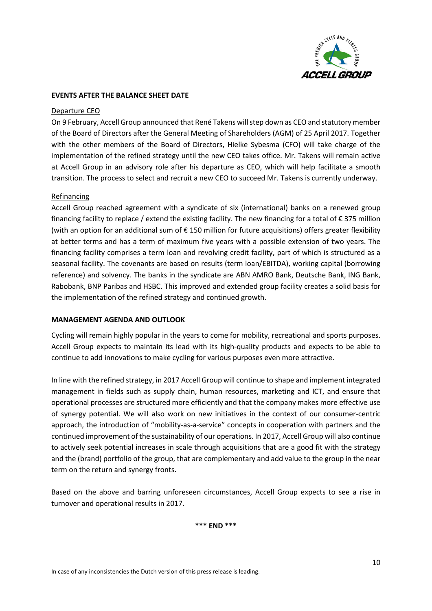

#### **EVENTS AFTER THE BALANCE SHEET DATE**

#### Departure CEO

On 9 February, Accell Group announced that René Takens will step down as CEO and statutory member of the Board of Directors after the General Meeting of Shareholders (AGM) of 25 April 2017. Together with the other members of the Board of Directors, Hielke Sybesma (CFO) will take charge of the implementation of the refined strategy until the new CEO takes office. Mr. Takens will remain active at Accell Group in an advisory role after his departure as CEO, which will help facilitate a smooth transition. The process to select and recruit a new CEO to succeed Mr. Takens is currently underway.

#### Refinancing

Accell Group reached agreement with a syndicate of six (international) banks on a renewed group financing facility to replace / extend the existing facility. The new financing for a total of € 375 million (with an option for an additional sum of  $\epsilon$  150 million for future acquisitions) offers greater flexibility at better terms and has a term of maximum five years with a possible extension of two years. The financing facility comprises a term loan and revolving credit facility, part of which is structured as a seasonal facility. The covenants are based on results (term loan/EBITDA), working capital (borrowing reference) and solvency. The banks in the syndicate are ABN AMRO Bank, Deutsche Bank, ING Bank, Rabobank, BNP Paribas and HSBC. This improved and extended group facility creates a solid basis for the implementation of the refined strategy and continued growth.

## **MANAGEMENT AGENDA AND OUTLOOK**

Cycling will remain highly popular in the years to come for mobility, recreational and sports purposes. Accell Group expects to maintain its lead with its high-quality products and expects to be able to continue to add innovations to make cycling for various purposes even more attractive.

In line with the refined strategy, in 2017 Accell Group will continue to shape and implement integrated management in fields such as supply chain, human resources, marketing and ICT, and ensure that operational processes are structured more efficiently and that the company makes more effective use of synergy potential. We will also work on new initiatives in the context of our consumer-centric approach, the introduction of "mobility-as-a-service" concepts in cooperation with partners and the continued improvement of the sustainability of our operations. In 2017, Accell Group will also continue to actively seek potential increases in scale through acquisitions that are a good fit with the strategy and the (brand) portfolio of the group, that are complementary and add value to the group in the near term on the return and synergy fronts.

Based on the above and barring unforeseen circumstances, Accell Group expects to see a rise in turnover and operational results in 2017.

**\*\*\* END \*\*\***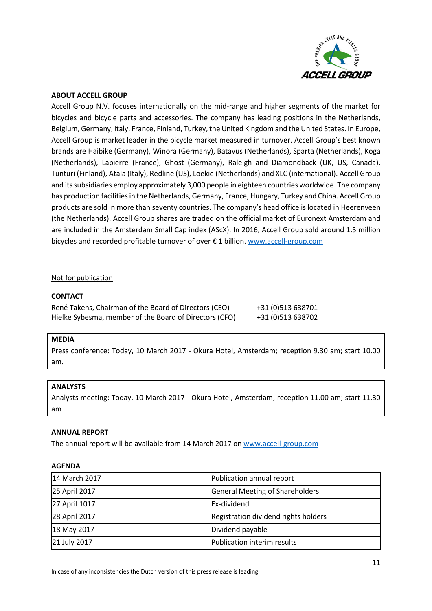

#### **ABOUT ACCELL GROUP**

Accell Group N.V. focuses internationally on the mid-range and higher segments of the market for bicycles and bicycle parts and accessories. The company has leading positions in the Netherlands, Belgium, Germany, Italy, France, Finland, Turkey, the United Kingdom and the United States. In Europe, Accell Group is market leader in the bicycle market measured in turnover. Accell Group's best known brands are Haibike (Germany), Winora (Germany), Batavus (Netherlands), Sparta (Netherlands), Koga (Netherlands), Lapierre (France), Ghost (Germany), Raleigh and Diamondback (UK, US, Canada), Tunturi (Finland), Atala (Italy), Redline (US), Loekie (Netherlands) and XLC (international). Accell Group and its subsidiaries employ approximately 3,000 people in eighteen countries worldwide. The company has production facilities in the Netherlands, Germany, France, Hungary, Turkey and China. Accell Group products are sold in more than seventy countries. The company's head office is located in Heerenveen (the Netherlands). Accell Group shares are traded on the official market of Euronext Amsterdam and are included in the Amsterdam Small Cap index (AScX). In 2016, Accell Group sold around 1.5 million bicycles and recorded profitable turnover of over € 1 billion. [www.accell-group.com](http://www.accell-group.com/)

#### Not for publication

#### **CONTACT**

René Takens, Chairman of the Board of Directors (CEO) +31 (0)513 638701 Hielke Sybesma, member of the Board of Directors (CFO) +31 (0)513 638702

#### **MEDIA**

Press conference: Today, 10 March 2017 - Okura Hotel, Amsterdam; reception 9.30 am; start 10.00 am.

#### **ANALYSTS**

Analysts meeting: Today, 10 March 2017 - Okura Hotel, Amsterdam; reception 11.00 am; start 11.30 am

## **ANNUAL REPORT**

The annual report will be available from 14 March 2017 o[n www.accell-group.com](http://www.accell-group.com/)

| <b>AGENDA</b> |                                      |
|---------------|--------------------------------------|
| 14 March 2017 | Publication annual report            |
| 25 April 2017 | General Meeting of Shareholders      |
| 27 April 1017 | Ex-dividend                          |
| 28 April 2017 | Registration dividend rights holders |
| 18 May 2017   | Dividend payable                     |
| 21 July 2017  | Publication interim results          |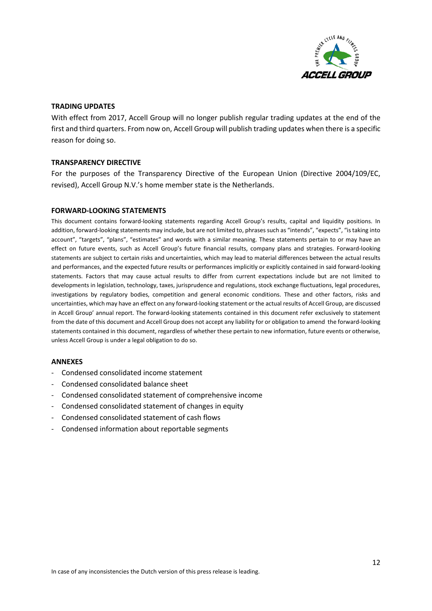

#### **TRADING UPDATES**

With effect from 2017, Accell Group will no longer publish regular trading updates at the end of the first and third quarters. From now on, Accell Group will publish trading updates when there is a specific reason for doing so.

#### **TRANSPARENCY DIRECTIVE**

For the purposes of the Transparency Directive of the European Union (Directive 2004/109/EC, revised), Accell Group N.V.'s home member state is the Netherlands.

#### **FORWARD-LOOKING STATEMENTS**

This document contains forward-looking statements regarding Accell Group's results, capital and liquidity positions. In addition, forward-looking statements may include, but are not limited to, phrases such as "intends", "expects", "is taking into account", "targets", "plans", "estimates" and words with a similar meaning. These statements pertain to or may have an effect on future events, such as Accell Group's future financial results, company plans and strategies. Forward-looking statements are subject to certain risks and uncertainties, which may lead to material differences between the actual results and performances, and the expected future results or performances implicitly or explicitly contained in said forward-looking statements. Factors that may cause actual results to differ from current expectations include but are not limited to developments in legislation, technology, taxes, jurisprudence and regulations, stock exchange fluctuations, legal procedures, investigations by regulatory bodies, competition and general economic conditions. These and other factors, risks and uncertainties, which may have an effect on any forward-looking statement or the actual results of Accell Group, are discussed in Accell Group' annual report. The forward-looking statements contained in this document refer exclusively to statement from the date of this document and Accell Group does not accept any liability for or obligation to amend the forward-looking statements contained in this document, regardless of whether these pertain to new information, future events or otherwise, unless Accell Group is under a legal obligation to do so.

#### **ANNEXES**

- Condensed consolidated income statement
- Condensed consolidated balance sheet
- Condensed consolidated statement of comprehensive income
- Condensed consolidated statement of changes in equity
- Condensed consolidated statement of cash flows
- Condensed information about reportable segments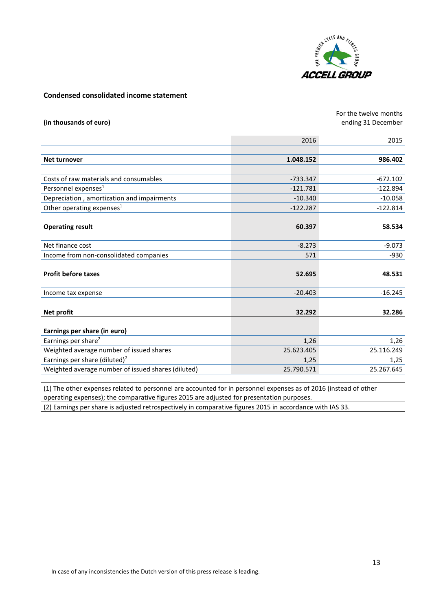

#### **Condensed consolidated income statement**

**(in thousands of euro)**

For the twelve months ending 31 December

| 2016       | 2015                            |
|------------|---------------------------------|
|            |                                 |
| 1.048.152  | 986.402                         |
|            |                                 |
| $-733.347$ | $-672.102$                      |
| $-121.781$ | $-122.894$                      |
| $-10.340$  | $-10.058$                       |
| $-122.287$ | $-122.814$                      |
|            |                                 |
| 60.397     | 58.534                          |
|            |                                 |
|            | $-9.073$                        |
| 571        | $-930$                          |
|            |                                 |
|            | 48.531                          |
|            | $-16.245$                       |
|            |                                 |
| 32.292     | 32.286                          |
|            |                                 |
|            |                                 |
| 1,26       | 1,26                            |
| 25.623.405 | 25.116.249                      |
| 1,25       | 1,25                            |
| 25.790.571 | 25.267.645                      |
|            | $-8.273$<br>52.695<br>$-20.403$ |

(1) The other expenses related to personnel are accounted for in personnel expenses as of 2016 (instead of other operating expenses); the comparative figures 2015 are adjusted for presentation purposes.

(2) Earnings per share is adjusted retrospectively in comparative figures 2015 in accordance with IAS 33.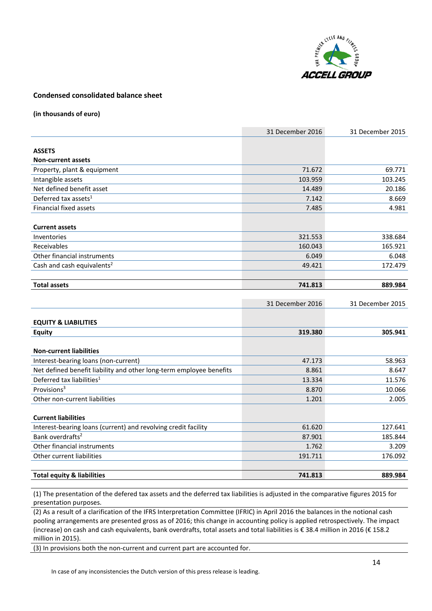

#### **Condensed consolidated balance sheet**

**(in thousands of euro)**

|                                                                     | 31 December 2016 | 31 December 2015 |
|---------------------------------------------------------------------|------------------|------------------|
| <b>ASSETS</b>                                                       |                  |                  |
| <b>Non-current assets</b>                                           |                  |                  |
| Property, plant & equipment                                         | 71.672           | 69.771           |
| Intangible assets                                                   | 103.959          | 103.245          |
| Net defined benefit asset                                           | 14.489           | 20.186           |
| Deferred tax assets <sup>1</sup>                                    | 7.142            | 8.669            |
| <b>Financial fixed assets</b>                                       | 7.485            | 4.981            |
|                                                                     |                  |                  |
| <b>Current assets</b>                                               |                  |                  |
| Inventories                                                         | 321.553          | 338.684          |
| Receivables                                                         | 160.043          | 165.921          |
| Other financial instruments                                         | 6.049            | 6.048            |
| Cash and cash equivalents <sup>2</sup>                              | 49.421           | 172.479          |
|                                                                     |                  |                  |
| <b>Total assets</b>                                                 | 741.813          | 889.984          |
|                                                                     |                  |                  |
|                                                                     | 31 December 2016 | 31 December 2015 |
|                                                                     |                  |                  |
| <b>EQUITY &amp; LIABILITIES</b>                                     |                  |                  |
| <b>Equity</b>                                                       | 319.380          | 305.941          |
| <b>Non-current liabilities</b>                                      |                  |                  |
| Interest-bearing loans (non-current)                                | 47.173           | 58.963           |
| Net defined benefit liability and other long-term employee benefits | 8.861            | 8.647            |
| Deferred tax liabilities <sup>1</sup>                               | 13.334           | 11.576           |
| Provisions <sup>3</sup>                                             | 8.870            | 10.066           |
| Other non-current liabilities                                       | 1.201            | 2.005            |
|                                                                     |                  |                  |
| <b>Current liabilities</b>                                          |                  |                  |
| Interest-bearing loans (current) and revolving credit facility      | 61.620           | 127.641          |
| Bank overdrafts <sup>2</sup>                                        | 87.901           | 185.844          |
| Other financial instruments                                         | 1.762            | 3.209            |
| Other current liabilities                                           | 191.711          | 176.092          |
|                                                                     |                  |                  |
| <b>Total equity &amp; liabilities</b>                               | 741.813          | 889.984          |

(1) The presentation of the defered tax assets and the deferred tax liabilities is adjusted in the comparative figures 2015 for presentation purposes.

(2) As a result of a clarification of the IFRS Interpretation Committee (IFRIC) in April 2016 the balances in the notional cash pooling arrangements are presented gross as of 2016; this change in accounting policy is applied retrospectively. The impact (increase) on cash and cash equivalents, bank overdrafts, total assets and total liabilities is € 38.4 million in 2016 (€ 158.2 million in 2015).

(3) In provisions both the non-current and current part are accounted for.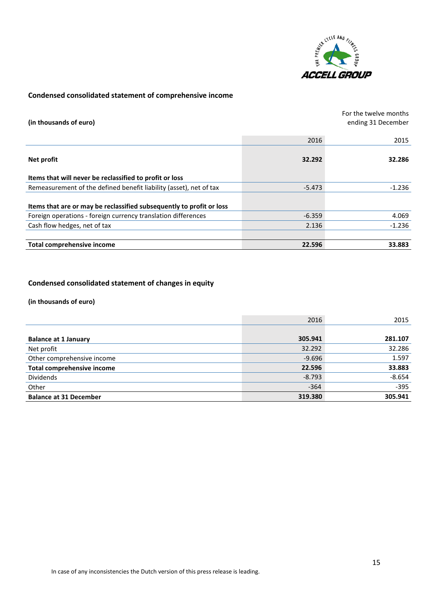

## **Condensed consolidated statement of comprehensive income**

| (in thousands of euro)                                               | For the twelve months<br>ending 31 December |          |
|----------------------------------------------------------------------|---------------------------------------------|----------|
|                                                                      | 2016                                        | 2015     |
| Net profit                                                           | 32.292                                      | 32.286   |
| Items that will never be reclassified to profit or loss              |                                             |          |
| Remeasurement of the defined benefit liability (asset), net of tax   | $-5.473$                                    | $-1.236$ |
| Items that are or may be reclassified subsequently to profit or loss |                                             |          |
| Foreign operations - foreign currency translation differences        | $-6.359$                                    | 4.069    |
| Cash flow hedges, net of tax                                         | 2.136                                       | $-1.236$ |
|                                                                      |                                             |          |
| Total comprehensive income                                           | 22.596                                      | 33.883   |

## **Condensed consolidated statement of changes in equity**

#### **(in thousands of euro)**

|                                   | 2016     | 2015     |
|-----------------------------------|----------|----------|
|                                   |          |          |
| <b>Balance at 1 January</b>       | 305.941  | 281.107  |
| Net profit                        | 32.292   | 32.286   |
| Other comprehensive income        | $-9.696$ | 1.597    |
| <b>Total comprehensive income</b> | 22.596   | 33.883   |
| Dividends                         | $-8.793$ | $-8.654$ |
| Other                             | $-364$   | $-395$   |
| <b>Balance at 31 December</b>     | 319.380  | 305.941  |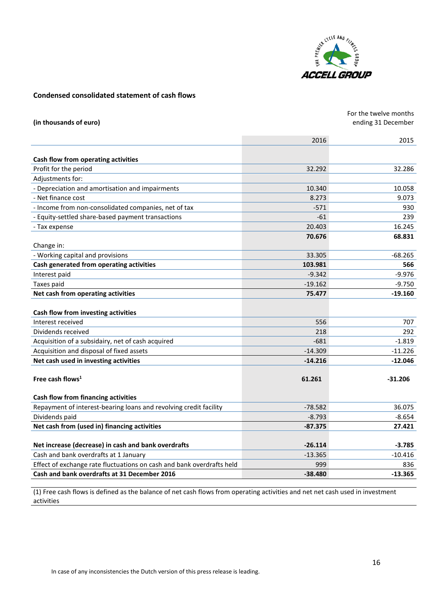

## **Condensed consolidated statement of cash flows**

| (in thousands of euro)<br>ending 31 December<br>2016<br>2015<br>Cash flow from operating activities<br>Profit for the period<br>32.292<br>32.286<br>Adjustments for:<br>- Depreciation and amortisation and impairments<br>10.340<br>10.058<br>- Net finance cost<br>8.273<br>9.073<br>- Income from non-consolidated companies, net of tax<br>$-571$<br>930<br>- Equity-settled share-based payment transactions<br>$-61$<br>239<br>20.403<br>16.245<br>- Tax expense<br>70.676<br>68.831<br>Change in:<br>- Working capital and provisions<br>33.305<br>Cash generated from operating activities<br>103.981<br>566<br>Interest paid<br>$-9.342$<br>$-9.976$<br>Taxes paid<br>$-19.162$<br>$-9.750$<br>$-19.160$<br>Net cash from operating activities<br>75.477<br>Cash flow from investing activities<br>Interest received<br>556<br>707<br>Dividends received<br>218<br>292<br>$-681$<br>Acquisition of a subsidairy, net of cash acquired<br>$-1.819$<br>$-11.226$<br>Acquisition and disposal of fixed assets<br>$-14.309$<br>$-14.216$<br>$-12.046$<br>Net cash used in investing activities<br>Free cash flows <sup>1</sup><br>61.261<br>$-31.206$<br>Cash flow from financing activities<br>Repayment of interest-bearing loans and revolving credit facility<br>36.075<br>$-78.582$<br>Dividends paid<br>$-8.793$<br>$-8.654$<br>Net cash from (used in) financing activities<br>$-87.375$<br>27.421<br>Net increase (decrease) in cash and bank overdrafts<br>$-26.114$<br>$-3.785$<br>Cash and bank overdrafts at 1 January<br>$-13.365$<br>$-10.416$<br>Effect of exchange rate fluctuations on cash and bank overdrafts held<br>999<br>836<br>Cash and bank overdrafts at 31 December 2016<br>$-38.480$<br>$-13.365$ | For the twelve months |  |
|------------------------------------------------------------------------------------------------------------------------------------------------------------------------------------------------------------------------------------------------------------------------------------------------------------------------------------------------------------------------------------------------------------------------------------------------------------------------------------------------------------------------------------------------------------------------------------------------------------------------------------------------------------------------------------------------------------------------------------------------------------------------------------------------------------------------------------------------------------------------------------------------------------------------------------------------------------------------------------------------------------------------------------------------------------------------------------------------------------------------------------------------------------------------------------------------------------------------------------------------------------------------------------------------------------------------------------------------------------------------------------------------------------------------------------------------------------------------------------------------------------------------------------------------------------------------------------------------------------------------------------------------------------------------------------------------------------------------------------|-----------------------|--|
| $-68.265$                                                                                                                                                                                                                                                                                                                                                                                                                                                                                                                                                                                                                                                                                                                                                                                                                                                                                                                                                                                                                                                                                                                                                                                                                                                                                                                                                                                                                                                                                                                                                                                                                                                                                                                          |                       |  |
|                                                                                                                                                                                                                                                                                                                                                                                                                                                                                                                                                                                                                                                                                                                                                                                                                                                                                                                                                                                                                                                                                                                                                                                                                                                                                                                                                                                                                                                                                                                                                                                                                                                                                                                                    |                       |  |
|                                                                                                                                                                                                                                                                                                                                                                                                                                                                                                                                                                                                                                                                                                                                                                                                                                                                                                                                                                                                                                                                                                                                                                                                                                                                                                                                                                                                                                                                                                                                                                                                                                                                                                                                    |                       |  |
|                                                                                                                                                                                                                                                                                                                                                                                                                                                                                                                                                                                                                                                                                                                                                                                                                                                                                                                                                                                                                                                                                                                                                                                                                                                                                                                                                                                                                                                                                                                                                                                                                                                                                                                                    |                       |  |
|                                                                                                                                                                                                                                                                                                                                                                                                                                                                                                                                                                                                                                                                                                                                                                                                                                                                                                                                                                                                                                                                                                                                                                                                                                                                                                                                                                                                                                                                                                                                                                                                                                                                                                                                    |                       |  |
|                                                                                                                                                                                                                                                                                                                                                                                                                                                                                                                                                                                                                                                                                                                                                                                                                                                                                                                                                                                                                                                                                                                                                                                                                                                                                                                                                                                                                                                                                                                                                                                                                                                                                                                                    |                       |  |
|                                                                                                                                                                                                                                                                                                                                                                                                                                                                                                                                                                                                                                                                                                                                                                                                                                                                                                                                                                                                                                                                                                                                                                                                                                                                                                                                                                                                                                                                                                                                                                                                                                                                                                                                    |                       |  |
|                                                                                                                                                                                                                                                                                                                                                                                                                                                                                                                                                                                                                                                                                                                                                                                                                                                                                                                                                                                                                                                                                                                                                                                                                                                                                                                                                                                                                                                                                                                                                                                                                                                                                                                                    |                       |  |
|                                                                                                                                                                                                                                                                                                                                                                                                                                                                                                                                                                                                                                                                                                                                                                                                                                                                                                                                                                                                                                                                                                                                                                                                                                                                                                                                                                                                                                                                                                                                                                                                                                                                                                                                    |                       |  |
|                                                                                                                                                                                                                                                                                                                                                                                                                                                                                                                                                                                                                                                                                                                                                                                                                                                                                                                                                                                                                                                                                                                                                                                                                                                                                                                                                                                                                                                                                                                                                                                                                                                                                                                                    |                       |  |
|                                                                                                                                                                                                                                                                                                                                                                                                                                                                                                                                                                                                                                                                                                                                                                                                                                                                                                                                                                                                                                                                                                                                                                                                                                                                                                                                                                                                                                                                                                                                                                                                                                                                                                                                    |                       |  |
|                                                                                                                                                                                                                                                                                                                                                                                                                                                                                                                                                                                                                                                                                                                                                                                                                                                                                                                                                                                                                                                                                                                                                                                                                                                                                                                                                                                                                                                                                                                                                                                                                                                                                                                                    |                       |  |
|                                                                                                                                                                                                                                                                                                                                                                                                                                                                                                                                                                                                                                                                                                                                                                                                                                                                                                                                                                                                                                                                                                                                                                                                                                                                                                                                                                                                                                                                                                                                                                                                                                                                                                                                    |                       |  |
|                                                                                                                                                                                                                                                                                                                                                                                                                                                                                                                                                                                                                                                                                                                                                                                                                                                                                                                                                                                                                                                                                                                                                                                                                                                                                                                                                                                                                                                                                                                                                                                                                                                                                                                                    |                       |  |
|                                                                                                                                                                                                                                                                                                                                                                                                                                                                                                                                                                                                                                                                                                                                                                                                                                                                                                                                                                                                                                                                                                                                                                                                                                                                                                                                                                                                                                                                                                                                                                                                                                                                                                                                    |                       |  |
|                                                                                                                                                                                                                                                                                                                                                                                                                                                                                                                                                                                                                                                                                                                                                                                                                                                                                                                                                                                                                                                                                                                                                                                                                                                                                                                                                                                                                                                                                                                                                                                                                                                                                                                                    |                       |  |
|                                                                                                                                                                                                                                                                                                                                                                                                                                                                                                                                                                                                                                                                                                                                                                                                                                                                                                                                                                                                                                                                                                                                                                                                                                                                                                                                                                                                                                                                                                                                                                                                                                                                                                                                    |                       |  |
|                                                                                                                                                                                                                                                                                                                                                                                                                                                                                                                                                                                                                                                                                                                                                                                                                                                                                                                                                                                                                                                                                                                                                                                                                                                                                                                                                                                                                                                                                                                                                                                                                                                                                                                                    |                       |  |
|                                                                                                                                                                                                                                                                                                                                                                                                                                                                                                                                                                                                                                                                                                                                                                                                                                                                                                                                                                                                                                                                                                                                                                                                                                                                                                                                                                                                                                                                                                                                                                                                                                                                                                                                    |                       |  |
|                                                                                                                                                                                                                                                                                                                                                                                                                                                                                                                                                                                                                                                                                                                                                                                                                                                                                                                                                                                                                                                                                                                                                                                                                                                                                                                                                                                                                                                                                                                                                                                                                                                                                                                                    |                       |  |
|                                                                                                                                                                                                                                                                                                                                                                                                                                                                                                                                                                                                                                                                                                                                                                                                                                                                                                                                                                                                                                                                                                                                                                                                                                                                                                                                                                                                                                                                                                                                                                                                                                                                                                                                    |                       |  |
|                                                                                                                                                                                                                                                                                                                                                                                                                                                                                                                                                                                                                                                                                                                                                                                                                                                                                                                                                                                                                                                                                                                                                                                                                                                                                                                                                                                                                                                                                                                                                                                                                                                                                                                                    |                       |  |
|                                                                                                                                                                                                                                                                                                                                                                                                                                                                                                                                                                                                                                                                                                                                                                                                                                                                                                                                                                                                                                                                                                                                                                                                                                                                                                                                                                                                                                                                                                                                                                                                                                                                                                                                    |                       |  |
|                                                                                                                                                                                                                                                                                                                                                                                                                                                                                                                                                                                                                                                                                                                                                                                                                                                                                                                                                                                                                                                                                                                                                                                                                                                                                                                                                                                                                                                                                                                                                                                                                                                                                                                                    |                       |  |
|                                                                                                                                                                                                                                                                                                                                                                                                                                                                                                                                                                                                                                                                                                                                                                                                                                                                                                                                                                                                                                                                                                                                                                                                                                                                                                                                                                                                                                                                                                                                                                                                                                                                                                                                    |                       |  |
|                                                                                                                                                                                                                                                                                                                                                                                                                                                                                                                                                                                                                                                                                                                                                                                                                                                                                                                                                                                                                                                                                                                                                                                                                                                                                                                                                                                                                                                                                                                                                                                                                                                                                                                                    |                       |  |
|                                                                                                                                                                                                                                                                                                                                                                                                                                                                                                                                                                                                                                                                                                                                                                                                                                                                                                                                                                                                                                                                                                                                                                                                                                                                                                                                                                                                                                                                                                                                                                                                                                                                                                                                    |                       |  |
|                                                                                                                                                                                                                                                                                                                                                                                                                                                                                                                                                                                                                                                                                                                                                                                                                                                                                                                                                                                                                                                                                                                                                                                                                                                                                                                                                                                                                                                                                                                                                                                                                                                                                                                                    |                       |  |
|                                                                                                                                                                                                                                                                                                                                                                                                                                                                                                                                                                                                                                                                                                                                                                                                                                                                                                                                                                                                                                                                                                                                                                                                                                                                                                                                                                                                                                                                                                                                                                                                                                                                                                                                    |                       |  |
|                                                                                                                                                                                                                                                                                                                                                                                                                                                                                                                                                                                                                                                                                                                                                                                                                                                                                                                                                                                                                                                                                                                                                                                                                                                                                                                                                                                                                                                                                                                                                                                                                                                                                                                                    |                       |  |
|                                                                                                                                                                                                                                                                                                                                                                                                                                                                                                                                                                                                                                                                                                                                                                                                                                                                                                                                                                                                                                                                                                                                                                                                                                                                                                                                                                                                                                                                                                                                                                                                                                                                                                                                    |                       |  |
|                                                                                                                                                                                                                                                                                                                                                                                                                                                                                                                                                                                                                                                                                                                                                                                                                                                                                                                                                                                                                                                                                                                                                                                                                                                                                                                                                                                                                                                                                                                                                                                                                                                                                                                                    |                       |  |
|                                                                                                                                                                                                                                                                                                                                                                                                                                                                                                                                                                                                                                                                                                                                                                                                                                                                                                                                                                                                                                                                                                                                                                                                                                                                                                                                                                                                                                                                                                                                                                                                                                                                                                                                    |                       |  |
|                                                                                                                                                                                                                                                                                                                                                                                                                                                                                                                                                                                                                                                                                                                                                                                                                                                                                                                                                                                                                                                                                                                                                                                                                                                                                                                                                                                                                                                                                                                                                                                                                                                                                                                                    |                       |  |
|                                                                                                                                                                                                                                                                                                                                                                                                                                                                                                                                                                                                                                                                                                                                                                                                                                                                                                                                                                                                                                                                                                                                                                                                                                                                                                                                                                                                                                                                                                                                                                                                                                                                                                                                    |                       |  |

(1) Free cash flows is defined as the balance of net cash flows from operating activities and net net cash used in investment activities